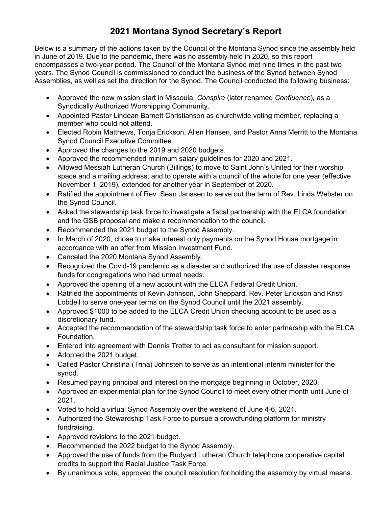## **2021 Montana Synod Secretary's Report**

Below is a summary of the actions taken by the Council of the Montana Synod since the assembly held in June of 2019. Due to the pandemic, there was no assembly held in 2020, so this report encompasses a two-year period. The Council of the Montana Synod met nine times in the past two years. The Synod Council is commissioned to conduct the business of the Synod between Synod Assemblies, as well as set the direction for the Synod. The Council conducted the following business:

- Approved the new mission start in Missoula, *Conspire* (later renamed *Confluence*)*,* as a Synodically Authorized Worshipping Community.
- Appointed Pastor Lindean Barnett Christianson as churchwide voting member, replacing a member who could not attend.
- Elected Robin Matthews, Tonja Erickson, Allen Hansen, and Pastor Anna Merritt to the Montana Synod Council Executive Committee.
- Approved the changes to the 2019 and 2020 budgets.
- Approved the recommended minimum salary guidelines for 2020 and 2021.
- Allowed Messiah Lutheran Church (Billings) to move to Saint John's United for their worship space and a mailing address; and to operate with a council of the whole for one year (effective November 1, 2019), extended for another year in September of 2020.
- Ratified the appointment of Rev. Sean Janssen to serve out the term of Rev. Linda Webster on the Synod Council.
- Asked the stewardship task force to investigate a fiscal partnership with the ELCA foundation and the GSB proposal and make a recommendation to the council.
- Recommended the 2021 budget to the Synod Assembly.
- In March of 2020, chose to make interest only payments on the Synod House mortgage in accordance with an offer from Mission Investment Fund.
- Canceled the 2020 Montana Synod Assembly.
- Recognized the Covid-19 pandemic as a disaster and authorized the use of disaster response funds for congregations who had unmet needs.
- Approved the opening of a new account with the ELCA Federal Credit Union.
- Ratified the appointments of Kevin Johnson, John Sheppard, Rev. Peter Erickson and Kristi Lobdell to serve one-year terms on the Synod Council until the 2021 assembly.
- Approved \$1000 to be added to the ELCA Credit Union checking account to be used as a discretionary fund.
- Accepted the recommendation of the stewardship task force to enter partnership with the ELCA Foundation.
- Entered into agreement with Dennis Trotter to act as consultant for mission support.
- Adopted the 2021 budget.
- Called Pastor Christina (Trina) Johnsten to serve as an intentional interim minister for the synod.
- Resumed paying principal and interest on the mortgage beginning in October, 2020.
- Approved an experimental plan for the Synod Council to meet every other month until June of 2021.
- Voted to hold a virtual Synod Assembly over the weekend of June 4-6, 2021.
- Authorized the Stewardship Task Force to pursue a crowdfunding platform for ministry fundraising.
- Approved revisions to the 2021 budget.
- Recommended the 2022 budget to the Synod Assembly.
- Approved the use of funds from the Rudyard Lutheran Church telephone cooperative capital credits to support the Racial Justice Task Force.
- By unanimous vote, approved the council resolution for holding the assembly by virtual means.